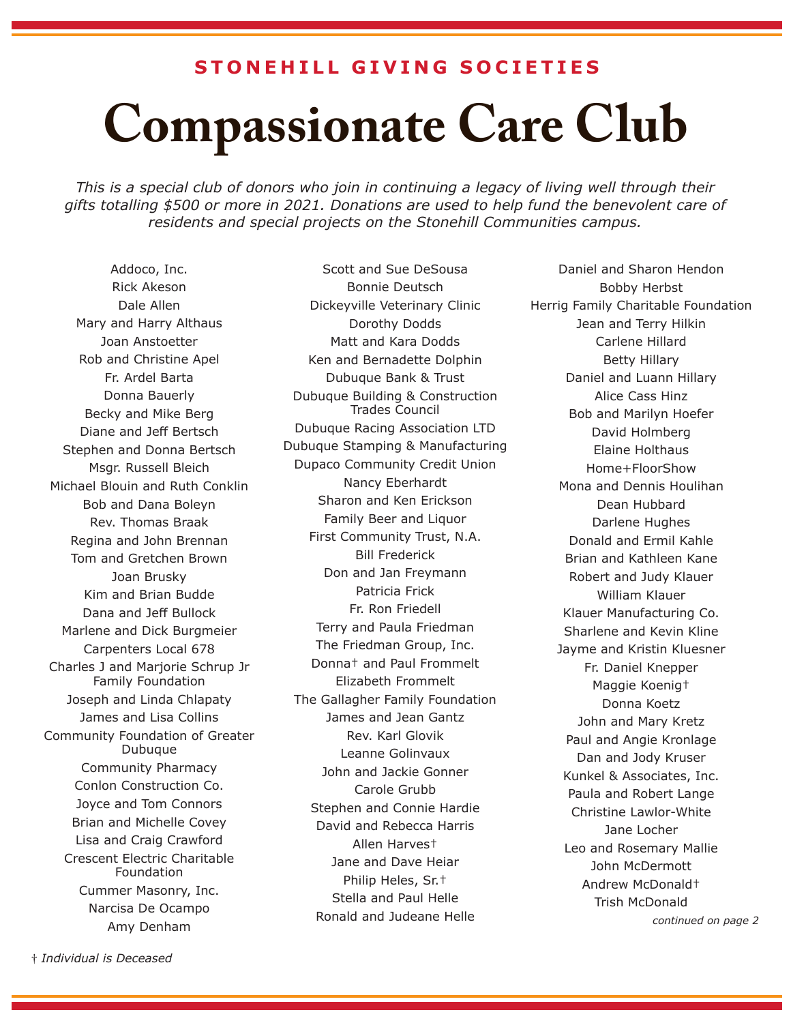## **STONEHILL GIVING SOCIETIES**

## **Compassionate Care Club**

*This is a special club of donors who join in continuing a legacy of living well through their gifts totalling \$500 or more in 2021. Donations are used to help fund the benevolent care of residents and special projects on the Stonehill Communities campus.*

Addoco, Inc. Rick Akeson Dale Allen Mary and Harry Althaus Joan Anstoetter Rob and Christine Apel Fr. Ardel Barta Donna Bauerly Becky and Mike Berg Diane and Jeff Bertsch Stephen and Donna Bertsch Msgr. Russell Bleich Michael Blouin and Ruth Conklin Bob and Dana Boleyn Rev. Thomas Braak Regina and John Brennan Tom and Gretchen Brown Joan Brusky Kim and Brian Budde Dana and Jeff Bullock Marlene and Dick Burgmeier Carpenters Local 678 Charles J and Marjorie Schrup Jr Family Foundation Joseph and Linda Chlapaty James and Lisa Collins Community Foundation of Greater Dubuque Community Pharmacy Conlon Construction Co. Joyce and Tom Connors Brian and Michelle Covey Lisa and Craig Crawford Crescent Electric Charitable Foundation Cummer Masonry, Inc. Narcisa De Ocampo Amy Denham

Scott and Sue DeSousa Bonnie Deutsch Dickeyville Veterinary Clinic Dorothy Dodds Matt and Kara Dodds Ken and Bernadette Dolphin Dubuque Bank & Trust Dubuque Building & Construction Trades Council Dubuque Racing Association LTD Dubuque Stamping & Manufacturing Dupaco Community Credit Union Nancy Eberhardt Sharon and Ken Erickson Family Beer and Liquor First Community Trust, N.A. Bill Frederick Don and Jan Freymann Patricia Frick Fr. Ron Friedell Terry and Paula Friedman The Friedman Group, Inc. Donna† and Paul Frommelt Elizabeth Frommelt The Gallagher Family Foundation James and Jean Gantz Rev. Karl Glovik Leanne Golinvaux John and Jackie Gonner Carole Grubb Stephen and Connie Hardie David and Rebecca Harris Allen Harves† Jane and Dave Heiar Philip Heles, Sr.† Stella and Paul Helle Ronald and Judeane Helle

Daniel and Sharon Hendon Bobby Herbst Herrig Family Charitable Foundation Jean and Terry Hilkin Carlene Hillard Betty Hillary Daniel and Luann Hillary Alice Cass Hinz Bob and Marilyn Hoefer David Holmberg Elaine Holthaus Home+FloorShow Mona and Dennis Houlihan Dean Hubbard Darlene Hughes Donald and Ermil Kahle Brian and Kathleen Kane Robert and Judy Klauer William Klauer Klauer Manufacturing Co. Sharlene and Kevin Kline Jayme and Kristin Kluesner Fr. Daniel Knepper Maggie Koenig† Donna Koetz John and Mary Kretz Paul and Angie Kronlage Dan and Jody Kruser Kunkel & Associates, Inc. Paula and Robert Lange Christine Lawlor-White Jane Locher Leo and Rosemary Mallie John McDermott Andrew McDonald† Trish McDonald *continued on page 2*